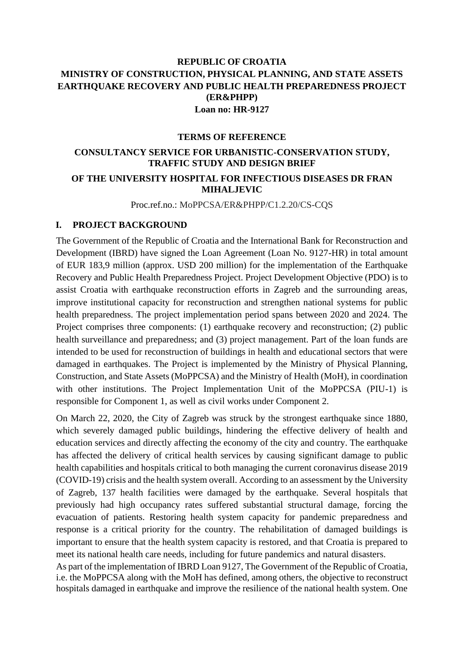## **REPUBLIC OF CROATIA MINISTRY OF CONSTRUCTION, PHYSICAL PLANNING, AND STATE ASSETS EARTHQUAKE RECOVERY AND PUBLIC HEALTH PREPAREDNESS PROJECT (ER&PHPP) Loan no: HR-9127**

#### **TERMS OF REFERENCE**

## **CONSULTANCY SERVICE FOR URBANISTIC-CONSERVATION STUDY, TRAFFIC STUDY AND DESIGN BRIEF OF THE UNIVERSITY HOSPITAL FOR INFECTIOUS DISEASES DR FRAN MIHALJEVIC**

Proc.ref.no.: MoPPCSA/ER&PHPP/C1.2.20/CS-CQS

#### **I. PROJECT BACKGROUND**

The Government of the Republic of Croatia and the International Bank for Reconstruction and Development (IBRD) have signed the Loan Agreement (Loan No. 9127-HR) in total amount of EUR 183,9 million (approx. USD 200 million) for the implementation of the Earthquake Recovery and Public Health Preparedness Project. Project Development Objective (PDO) is to assist Croatia with earthquake reconstruction efforts in Zagreb and the surrounding areas, improve institutional capacity for reconstruction and strengthen national systems for public health preparedness. The project implementation period spans between 2020 and 2024. The Project comprises three components: (1) earthquake recovery and reconstruction; (2) public health surveillance and preparedness; and (3) project management. Part of the loan funds are intended to be used for reconstruction of buildings in health and educational sectors that were damaged in earthquakes. The Project is implemented by the Ministry of Physical Planning, Construction, and State Assets (MoPPCSA) and the Ministry of Health (MoH), in coordination with other institutions. The Project Implementation Unit of the MoPPCSA (PIU-1) is responsible for Component 1, as well as civil works under Component 2.

On March 22, 2020, the City of Zagreb was struck by the strongest earthquake since 1880, which severely damaged public buildings, hindering the effective delivery of health and education services and directly affecting the economy of the city and country. The earthquake has affected the delivery of critical health services by causing significant damage to public health capabilities and hospitals critical to both managing the current coronavirus disease 2019 (COVID-19) crisis and the health system overall. According to an assessment by the University of Zagreb, 137 health facilities were damaged by the earthquake. Several hospitals that previously had high occupancy rates suffered substantial structural damage, forcing the evacuation of patients. Restoring health system capacity for pandemic preparedness and response is a critical priority for the country. The rehabilitation of damaged buildings is important to ensure that the health system capacity is restored, and that Croatia is prepared to meet its national health care needs, including for future pandemics and natural disasters.

As part of the implementation of IBRD Loan 9127, The Government of the Republic of Croatia, i.e. the MoPPCSA along with the MoH has defined, among others, the objective to reconstruct hospitals damaged in earthquake and improve the resilience of the national health system. One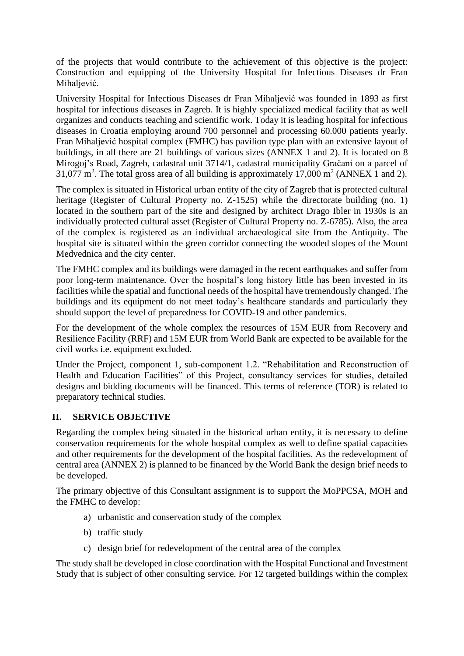of the projects that would contribute to the achievement of this objective is the project: Construction and equipping of the University Hospital for Infectious Diseases dr Fran Mihaljević.

University Hospital for Infectious Diseases dr Fran Mihaljević was founded in 1893 as first hospital for infectious diseases in Zagreb. It is highly specialized medical facility that as well organizes and conducts teaching and scientific work. Today it is leading hospital for infectious diseases in Croatia employing around 700 personnel and processing 60.000 patients yearly. Fran Mihaljević hospital complex (FMHC) has pavilion type plan with an extensive layout of buildings, in all there are 21 buildings of various sizes (ANNEX 1 and 2). It is located on 8 Mirogoj's Road, Zagreb, cadastral unit 3714/1, cadastral municipality Gračani on a parcel of 31,077 m<sup>2</sup>. The total gross area of all building is approximately 17,000 m<sup>2</sup> (ANNEX 1 and 2).

The complex is situated in Historical urban entity of the city of Zagreb that is protected cultural heritage (Register of Cultural Property no. Z-1525) while the directorate building (no. 1) located in the southern part of the site and designed by architect Drago Ibler in 1930s is an individually protected cultural asset (Register of Cultural Property no. Z-6785). Also, the area of the complex is registered as an individual archaeological site from the Antiquity. The hospital site is situated within the green corridor connecting the wooded slopes of the Mount Medvednica and the city center.

The FMHC complex and its buildings were damaged in the recent earthquakes and suffer from poor long-term maintenance. Over the hospital's long history little has been invested in its facilities while the spatial and functional needs of the hospital have tremendously changed. The buildings and its equipment do not meet today's healthcare standards and particularly they should support the level of preparedness for COVID-19 and other pandemics.

For the development of the whole complex the resources of 15M EUR from Recovery and Resilience Facility (RRF) and 15M EUR from World Bank are expected to be available for the civil works i.e. equipment excluded.

Under the Project, component 1, sub-component 1.2. "Rehabilitation and Reconstruction of Health and Education Facilities" of this Project, consultancy services for studies, detailed designs and bidding documents will be financed. This terms of reference (TOR) is related to preparatory technical studies.

## **II. SERVICE OBJECTIVE**

Regarding the complex being situated in the historical urban entity, it is necessary to define conservation requirements for the whole hospital complex as well to define spatial capacities and other requirements for the development of the hospital facilities. As the redevelopment of central area (ANNEX 2) is planned to be financed by the World Bank the design brief needs to be developed.

The primary objective of this Consultant assignment is to support the MoPPCSA, MOH and the FMHC to develop:

- a) urbanistic and conservation study of the complex
- b) traffic study
- c) design brief for redevelopment of the central area of the complex

The study shall be developed in close coordination with the Hospital Functional and Investment Study that is subject of other consulting service. For 12 targeted buildings within the complex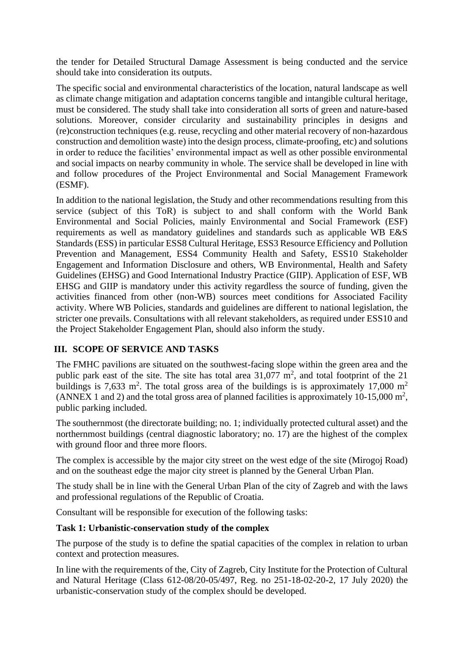the tender for Detailed Structural Damage Assessment is being conducted and the service should take into consideration its outputs.

The specific social and environmental characteristics of the location, natural landscape as well as climate change mitigation and adaptation concerns tangible and intangible cultural heritage, must be considered. The study shall take into consideration all sorts of green and nature-based solutions. Moreover, consider circularity and sustainability principles in designs and (re)construction techniques (e.g. reuse, recycling and other material recovery of non-hazardous construction and demolition waste) into the design process, climate-proofing, etc) and solutions in order to reduce the facilities' environmental impact as well as other possible environmental and social impacts on nearby community in whole. The service shall be developed in line with and follow procedures of the Project Environmental and Social Management Framework (ESMF).

In addition to the national legislation, the Study and other recommendations resulting from this service (subject of this ToR) is subject to and shall conform with the World Bank Environmental and Social Policies, mainly Environmental and Social Framework (ESF) requirements as well as mandatory guidelines and standards such as applicable WB E&S Standards (ESS) in particular ESS8 Cultural Heritage, ESS3 Resource Efficiency and Pollution Prevention and Management, ESS4 Community Health and Safety, ESS10 Stakeholder Engagement and Information Disclosure and others, WB Environmental, Health and Safety Guidelines (EHSG) and Good International Industry Practice (GIIP). Application of ESF, WB EHSG and GIIP is mandatory under this activity regardless the source of funding, given the activities financed from other (non-WB) sources meet conditions for Associated Facility activity. Where WB Policies, standards and guidelines are different to national legislation, the stricter one prevails. Consultations with all relevant stakeholders, as required under ESS10 and the Project Stakeholder Engagement Plan, should also inform the study.

## **III. SCOPE OF SERVICE AND TASKS**

The FMHC pavilions are situated on the southwest-facing slope within the green area and the public park east of the site. The site has total area  $31,077$  m<sup>2</sup>, and total footprint of the 21 buildings is 7,633 m<sup>2</sup>. The total gross area of the buildings is is approximately 17,000 m<sup>2</sup> (ANNEX 1 and 2) and the total gross area of planned facilities is approximately 10-15,000  $m^2$ , public parking included.

The southernmost (the directorate building; no. 1; individually protected cultural asset) and the northernmost buildings (central diagnostic laboratory; no. 17) are the highest of the complex with ground floor and three more floors.

The complex is accessible by the major city street on the west edge of the site (Mirogoj Road) and on the southeast edge the major city street is planned by the General Urban Plan.

The study shall be in line with the General Urban Plan of the city of Zagreb and with the laws and professional regulations of the Republic of Croatia.

Consultant will be responsible for execution of the following tasks:

## **Task 1: Urbanistic-conservation study of the complex**

The purpose of the study is to define the spatial capacities of the complex in relation to urban context and protection measures.

In line with the requirements of the, City of Zagreb, City Institute for the Protection of Cultural and Natural Heritage (Class 612-08/20-05/497, Reg. no 251-18-02-20-2, 17 July 2020) the urbanistic-conservation study of the complex should be developed.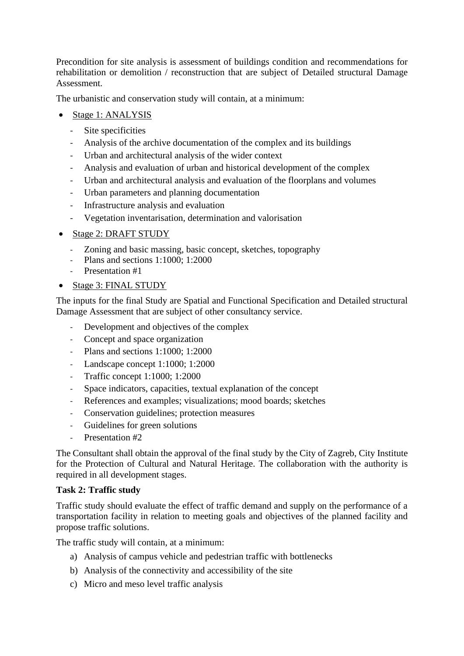Precondition for site analysis is assessment of buildings condition and recommendations for rehabilitation or demolition / reconstruction that are subject of Detailed structural Damage Assessment.

The urbanistic and conservation study will contain, at a minimum:

- Stage 1: ANALYSIS
	- Site specificities
	- Analysis of the archive documentation of the complex and its buildings
	- Urban and architectural analysis of the wider context
	- Analysis and evaluation of urban and historical development of the complex
	- Urban and architectural analysis and evaluation of the floorplans and volumes
	- Urban parameters and planning documentation
	- Infrastructure analysis and evaluation
	- Vegetation inventarisation, determination and valorisation
- Stage 2: DRAFT STUDY
	- Zoning and basic massing, basic concept, sketches, topography
	- Plans and sections 1:1000; 1:2000
	- Presentation #1
- Stage 3: FINAL STUDY

The inputs for the final Study are Spatial and Functional Specification and Detailed structural Damage Assessment that are subject of other consultancy service.

- Development and objectives of the complex
- Concept and space organization
- Plans and sections 1:1000; 1:2000
- Landscape concept 1:1000; 1:2000
- Traffic concept 1:1000; 1:2000
- Space indicators, capacities, textual explanation of the concept
- References and examples; visualizations; mood boards; sketches
- Conservation guidelines; protection measures
- Guidelines for green solutions
- Presentation #2

The Consultant shall obtain the approval of the final study by the City of Zagreb, City Institute for the Protection of Cultural and Natural Heritage. The collaboration with the authority is required in all development stages.

#### **Task 2: Traffic study**

Traffic study should evaluate the effect of traffic demand and supply on the performance of a transportation facility in relation to meeting goals and objectives of the planned facility and propose traffic solutions.

The traffic study will contain, at a minimum:

- a) Analysis of campus vehicle and pedestrian traffic with bottlenecks
- b) Analysis of the connectivity and accessibility of the site
- c) Micro and meso level traffic analysis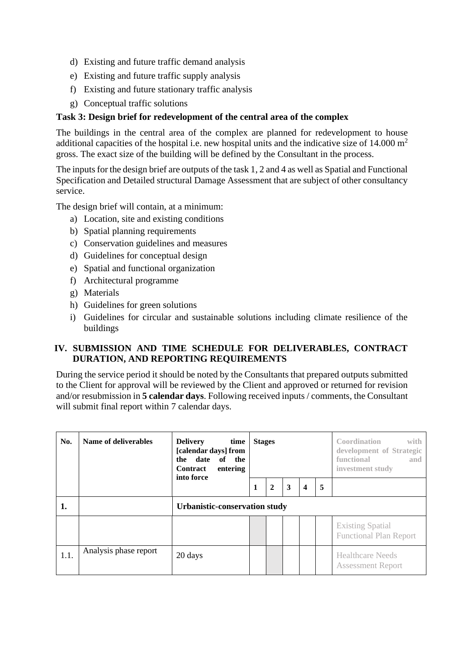- d) Existing and future traffic demand analysis
- e) Existing and future traffic supply analysis
- f) Existing and future stationary traffic analysis
- g) Conceptual traffic solutions

#### **Task 3: Design brief for redevelopment of the central area of the complex**

The buildings in the central area of the complex are planned for redevelopment to house additional capacities of the hospital i.e. new hospital units and the indicative size of  $14.000 \text{ m}^2$ gross. The exact size of the building will be defined by the Consultant in the process.

The inputs for the design brief are outputs of the task 1, 2 and 4 as well as Spatial and Functional Specification and Detailed structural Damage Assessment that are subject of other consultancy service.

The design brief will contain, at a minimum:

- a) Location, site and existing conditions
- b) Spatial planning requirements
- c) Conservation guidelines and measures
- d) Guidelines for conceptual design
- e) Spatial and functional organization
- f) Architectural programme
- g) Materials
- h) Guidelines for green solutions
- i) Guidelines for circular and sustainable solutions including climate resilience of the buildings

## **IV. SUBMISSION AND TIME SCHEDULE FOR DELIVERABLES, CONTRACT DURATION, AND REPORTING REQUIREMENTS**

During the service period it should be noted by the Consultants that prepared outputs submitted to the Client for approval will be reviewed by the Client and approved or returned for revision and/or resubmission in **5 calendar days**. Following received inputs / comments, the Consultant will submit final report within 7 calendar days.

| No.  | Name of deliverables  | <b>Delivery</b><br>time<br>[calendar days] from<br>the date<br>of the<br><b>Contract</b><br>entering<br>into force | <b>Stages</b> |              |   |                         |   | <b>Coordination</b><br>with<br>development of Strategic<br>functional<br>and<br>investment study |  |
|------|-----------------------|--------------------------------------------------------------------------------------------------------------------|---------------|--------------|---|-------------------------|---|--------------------------------------------------------------------------------------------------|--|
|      |                       |                                                                                                                    | 1             | $\mathbf{2}$ | 3 | $\overline{\mathbf{4}}$ | 5 |                                                                                                  |  |
| 1.   |                       | Urbanistic-conservation study                                                                                      |               |              |   |                         |   |                                                                                                  |  |
|      |                       |                                                                                                                    |               |              |   |                         |   | <b>Existing Spatial</b><br><b>Functional Plan Report</b>                                         |  |
| 1.1. | Analysis phase report | 20 days                                                                                                            |               |              |   |                         |   | <b>Healthcare Needs</b><br><b>Assessment Report</b>                                              |  |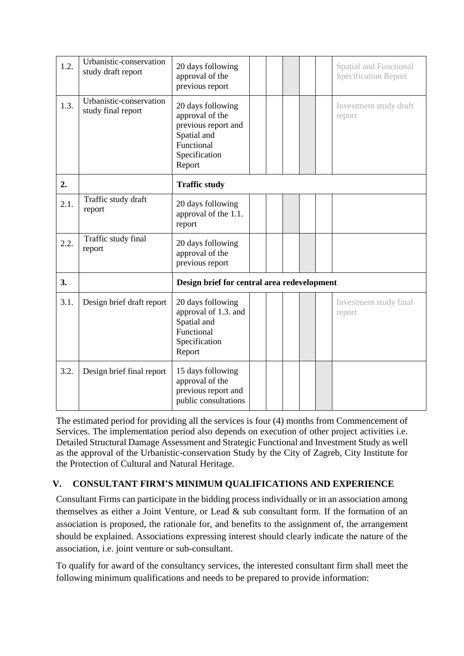| 1.2. | Urbanistic-conservation<br>study draft report | 20 days following<br>approval of the<br>previous report                                                             |  |  |  |  |  | <b>Spatial and Functional</b><br><b>Specification Report</b> |
|------|-----------------------------------------------|---------------------------------------------------------------------------------------------------------------------|--|--|--|--|--|--------------------------------------------------------------|
| 1.3. | Urbanistic-conservation<br>study final report | 20 days following<br>approval of the<br>previous report and<br>Spatial and<br>Functional<br>Specification<br>Report |  |  |  |  |  | Investment study draft<br>report                             |
| 2.   |                                               | <b>Traffic study</b>                                                                                                |  |  |  |  |  |                                                              |
| 2.1. | Traffic study draft<br>report                 | 20 days following<br>approval of the 1.1.<br>report                                                                 |  |  |  |  |  |                                                              |
| 2.2. | Traffic study final<br>report                 | 20 days following<br>approval of the<br>previous report                                                             |  |  |  |  |  |                                                              |
| 3.   |                                               | Design brief for central area redevelopment                                                                         |  |  |  |  |  |                                                              |
| 3.1. | Design brief draft report                     | 20 days following<br>approval of 1.3. and<br>Spatial and<br>Functional<br>Specification<br>Report                   |  |  |  |  |  | Investment study final<br>report                             |
| 3.2. | Design brief final report                     | 15 days following<br>approval of the<br>previous report and<br>public consultations                                 |  |  |  |  |  |                                                              |

The estimated period for providing all the services is four (4) months from Commencement of Services. The implementation period also depends on execution of other project activities i.e. Detailed Structural Damage Assessment and Strategic Functional and Investment Study as well as the approval of the Urbanistic-conservation Study by the City of Zagreb, City Institute for the Protection of Cultural and Natural Heritage.

## **V. CONSULTANT FIRM'S MINIMUM QUALIFICATIONS AND EXPERIENCE**

Consultant Firms can participate in the bidding process individually or in an association among themselves as either a Joint Venture, or Lead & sub consultant form. If the formation of an association is proposed, the rationale for, and benefits to the assignment of, the arrangement should be explained. Associations expressing interest should clearly indicate the nature of the association, i.e. joint venture or sub-consultant.

To qualify for award of the consultancy services, the interested consultant firm shall meet the following minimum qualifications and needs to be prepared to provide information: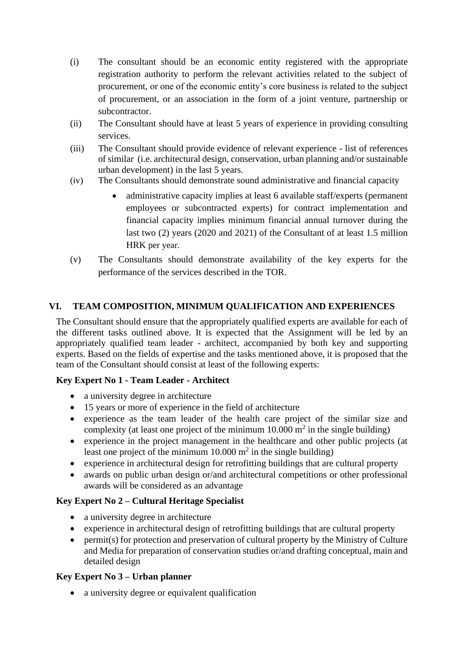- (i) The consultant should be an economic entity registered with the appropriate registration authority to perform the relevant activities related to the subject of procurement, or one of the economic entity's core business is related to the subject of procurement, or an association in the form of a joint venture, partnership or subcontractor.
- (ii) The Consultant should have at least 5 years of experience in providing consulting services.
- (iii) The Consultant should provide evidence of relevant experience list of references of similar (i.e. architectural design, conservation, urban planning and/or sustainable urban development) in the last 5 years.
- (iv) The Consultants should demonstrate sound administrative and financial capacity
	- administrative capacity implies at least 6 available staff/experts (permanent employees or subcontracted experts) for contract implementation and financial capacity implies minimum financial annual turnover during the last two (2) years (2020 and 2021) of the Consultant of at least 1.5 million HRK per year.
- (v) The Consultants should demonstrate availability of the key experts for the performance of the services described in the TOR.

## **VI. TEAM COMPOSITION, MINIMUM QUALIFICATION AND EXPERIENCES**

The Consultant should ensure that the appropriately qualified experts are available for each of the different tasks outlined above. It is expected that the Assignment will be led by an appropriately qualified team leader - architect, accompanied by both key and supporting experts. Based on the fields of expertise and the tasks mentioned above, it is proposed that the team of the Consultant should consist at least of the following experts:

## **Key Expert No 1 - Team Leader - Architect**

- a university degree in architecture
- 15 years or more of experience in the field of architecture
- experience as the team leader of the health care project of the similar size and complexity (at least one project of the minimum  $10.000 \text{ m}^2$  in the single building)
- experience in the project management in the healthcare and other public projects (at least one project of the minimum  $10.000 \text{ m}^2$  in the single building)
- experience in architectural design for retrofitting buildings that are cultural property
- awards on public urban design or/and architectural competitions or other professional awards will be considered as an advantage

#### **Key Expert No 2 – Cultural Heritage Specialist**

- a university degree in architecture
- experience in architectural design of retrofitting buildings that are cultural property
- permit(s) for protection and preservation of cultural property by the Ministry of Culture and Media for preparation of conservation studies or/and drafting conceptual, main and detailed design

#### **Key Expert No 3 – Urban planner**

• a university degree or equivalent qualification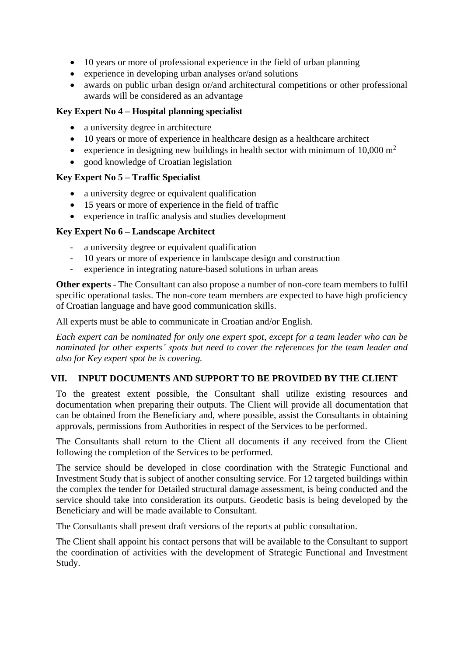- 10 years or more of professional experience in the field of urban planning
- experience in developing urban analyses or/and solutions
- awards on public urban design or/and architectural competitions or other professional awards will be considered as an advantage

## **Key Expert No 4 – Hospital planning specialist**

- a university degree in architecture
- 10 years or more of experience in healthcare design as a healthcare architect
- experience in designing new buildings in health sector with minimum of  $10,000 \text{ m}^2$
- good knowledge of Croatian legislation

#### **Key Expert No 5 – Traffic Specialist**

- a university degree or equivalent qualification
- 15 years or more of experience in the field of traffic
- experience in traffic analysis and studies development

#### **Key Expert No 6 – Landscape Architect**

- a university degree or equivalent qualification
- 10 years or more of experience in landscape design and construction
- experience in integrating nature-based solutions in urban areas

**Other experts** - The Consultant can also propose a number of non-core team members to fulfil specific operational tasks. The non-core team members are expected to have high proficiency of Croatian language and have good communication skills.

All experts must be able to communicate in Croatian and/or English.

*Each expert can be nominated for only one expert spot, except for a team leader who can be nominated for other experts' spots but need to cover the references for the team leader and also for Key expert spot he is covering.*

## **VII. INPUT DOCUMENTS AND SUPPORT TO BE PROVIDED BY THE CLIENT**

To the greatest extent possible, the Consultant shall utilize existing resources and documentation when preparing their outputs. The Client will provide all documentation that can be obtained from the Beneficiary and, where possible, assist the Consultants in obtaining approvals, permissions from Authorities in respect of the Services to be performed.

The Consultants shall return to the Client all documents if any received from the Client following the completion of the Services to be performed.

The service should be developed in close coordination with the Strategic Functional and Investment Study that is subject of another consulting service. For 12 targeted buildings within the complex the tender for Detailed structural damage assessment, is being conducted and the service should take into consideration its outputs. Geodetic basis is being developed by the Beneficiary and will be made available to Consultant.

The Consultants shall present draft versions of the reports at public consultation.

The Client shall appoint his contact persons that will be available to the Consultant to support the coordination of activities with the development of Strategic Functional and Investment Study.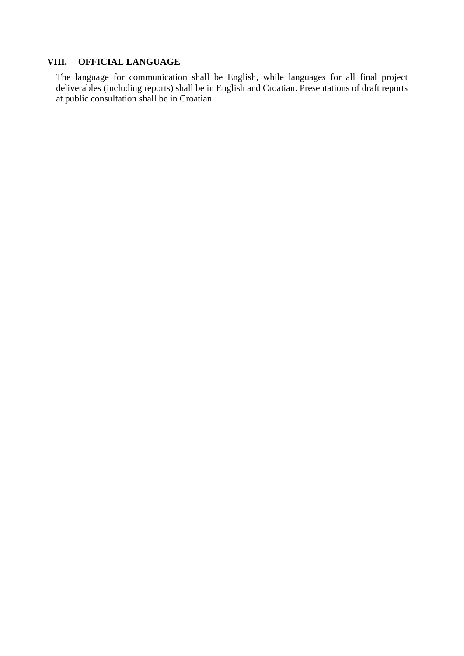#### **VIII. OFFICIAL LANGUAGE**

The language for communication shall be English, while languages for all final project deliverables (including reports) shall be in English and Croatian. Presentations of draft reports at public consultation shall be in Croatian.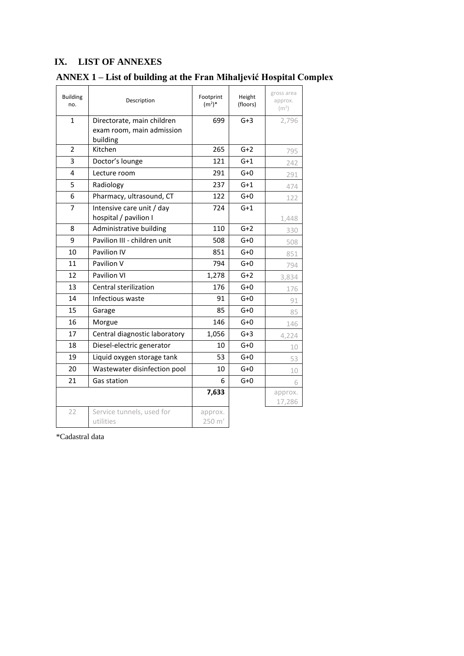## **IX. LIST OF ANNEXES**

# **ANNEX 1 – List of building at the Fran Mihaljević Hospital Complex**

| <b>Building</b><br>no. | Description                                                         | Footprint<br>$(m^2)^*$ | Height<br>(floors) | gross area<br>approx.<br>(m <sup>2</sup> ) |
|------------------------|---------------------------------------------------------------------|------------------------|--------------------|--------------------------------------------|
| $\mathbf{1}$           | Directorate, main children<br>exam room, main admission<br>building | 699                    | $G+3$              | 2,796                                      |
| $\overline{2}$         | Kitchen                                                             | 265                    | $G+2$              | 795                                        |
| 3                      | Doctor's lounge                                                     | 121                    | $G+1$              | 242                                        |
| 4                      | Lecture room                                                        | 291                    | $G+O$              | 291                                        |
| 5                      | Radiology                                                           | 237                    | $G+1$              | 474                                        |
| 6                      | Pharmacy, ultrasound, CT                                            | 122                    | $G+O$              | 122                                        |
| 7                      | Intensive care unit / day<br>hospital / pavilion I                  | 724                    | $G+1$              | 1,448                                      |
| 8                      | Administrative building                                             | 110                    | $G+2$              | 330                                        |
| 9                      | Pavilion III - children unit                                        | 508                    | $G+O$              | 508                                        |
| 10                     | Pavilion IV                                                         | 851                    | $G+O$              | 851                                        |
| 11                     | Pavilion V                                                          | 794                    | $G+O$              | 794                                        |
| 12                     | Pavilion VI                                                         | 1,278                  | $G+2$              | 3,834                                      |
| 13                     | Central sterilization                                               | 176                    | $G+O$              | 176                                        |
| 14                     | Infectious waste                                                    | 91                     | $G+O$              | 91                                         |
| 15                     | Garage                                                              | 85                     | $G+O$              | 85                                         |
| 16                     | Morgue                                                              | 146                    | $G+O$              | 146                                        |
| 17                     | Central diagnostic laboratory                                       | 1,056                  | $G+3$              | 4,224                                      |
| 18                     | Diesel-electric generator                                           | 10                     | $G+O$              | 10                                         |
| 19                     | Liquid oxygen storage tank                                          | 53                     | $G+O$              | 53                                         |
| 20                     | Wastewater disinfection pool                                        | 10                     | $G+O$              | 10                                         |
| 21                     | Gas station                                                         | 6                      | $G+O$              | 6                                          |
|                        |                                                                     | 7,633                  |                    | approx.<br>17,286                          |
| 22                     | Service tunnels, used for<br>utilities                              | approx.<br>250 m'      |                    |                                            |

\*Cadastral data